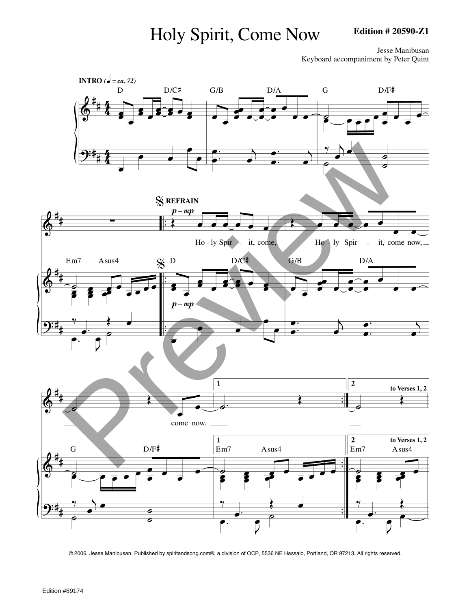# Holy Spirit, Come Now

### **Edition # 20590-Z1**

Jesse Manibusan Keyboard accompaniment by Peter Quint



© 2006, Jesse Manibusan. Published by spiritandsong.com®, a division of OCP, 5536 NE Hassalo, Portland, OR 97213. All rights reserved.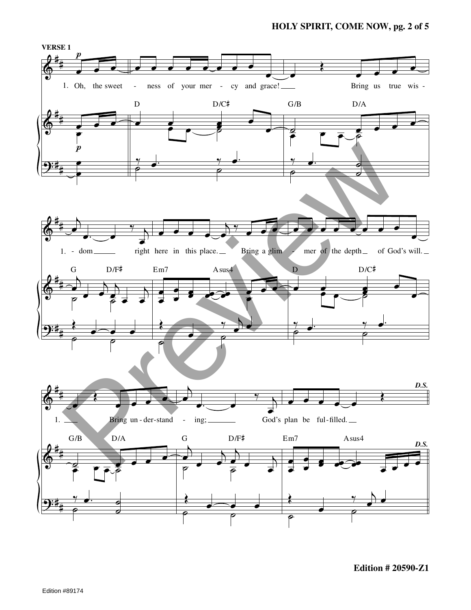## **HOLY SPIRIT, COME NOW, pg. 2 of 5**



**Edition # 20590-Z1**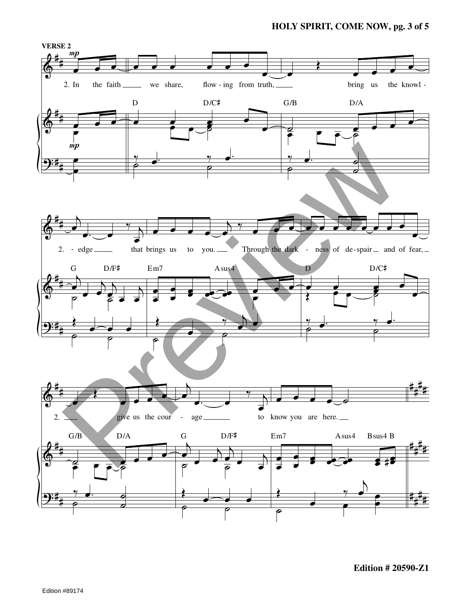## **HOLY SPIRIT, COME NOW, pg. 3 of 5**

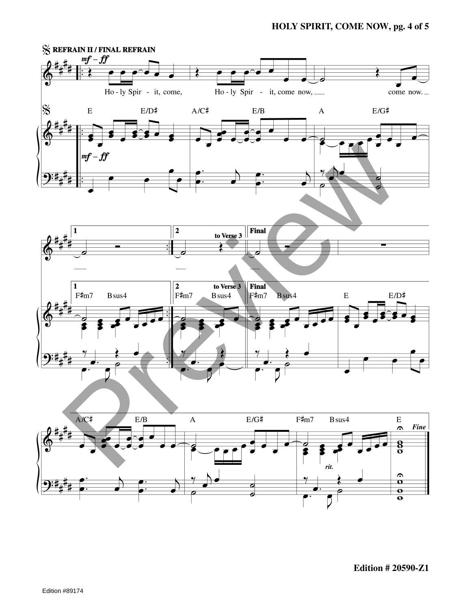